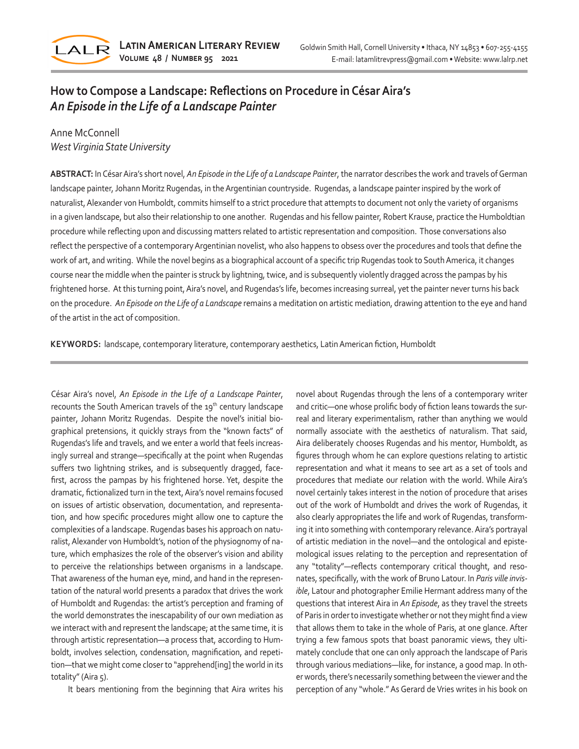

## **How to Compose a Landscape: Reflections on Procedure in César Aira's** *An Episode in the Life of a Landscape Painter*

## Anne McConnell *West Virginia State University*

**ABSTRACT:** In César Aira's short novel, *An Episode in the Life of a Landscape Painter*, the narrator describes the work and travels of German landscape painter, Johann Moritz Rugendas, in the Argentinian countryside. Rugendas, a landscape painter inspired by the work of naturalist, Alexander von Humboldt, commits himself to a strict procedure that attempts to document not only the variety of organisms in a given landscape, but also their relationship to one another. Rugendas and his fellow painter, Robert Krause, practice the Humboldtian procedure while reflecting upon and discussing matters related to artistic representation and composition. Those conversations also reflect the perspective of a contemporary Argentinian novelist, who also happens to obsess over the procedures and tools that define the work of art, and writing. While the novel begins as a biographical account of a specific trip Rugendas took to South America, it changes course near the middle when the painter is struck by lightning, twice, and is subsequently violently dragged across the pampas by his frightened horse. At this turning point, Aira's novel, and Rugendas's life, becomes increasing surreal, yet the painter never turns his back on the procedure. *An Episode on the Life of a Landscape* remains a meditation on artistic mediation, drawing attention to the eye and hand of the artist in the act of composition.

**KEYWORDS:** landscape, contemporary literature, contemporary aesthetics, Latin American fiction, Humboldt

César Aira's novel, *An Episode in the Life of a Landscape Painter*, recounts the South American travels of the 19<sup>th</sup> century landscape painter, Johann Moritz Rugendas. Despite the novel's initial biographical pretensions, it quickly strays from the "known facts" of Rugendas's life and travels, and we enter a world that feels increasingly surreal and strange—specifically at the point when Rugendas suffers two lightning strikes, and is subsequently dragged, facefirst, across the pampas by his frightened horse. Yet, despite the dramatic, fictionalized turn in the text, Aira's novel remains focused on issues of artistic observation, documentation, and representation, and how specific procedures might allow one to capture the complexities of a landscape. Rugendas bases his approach on naturalist, Alexander von Humboldt's, notion of the physiognomy of nature, which emphasizes the role of the observer's vision and ability to perceive the relationships between organisms in a landscape. That awareness of the human eye, mind, and hand in the representation of the natural world presents a paradox that drives the work of Humboldt and Rugendas: the artist's perception and framing of the world demonstrates the inescapability of our own mediation as we interact with and represent the landscape; at the same time, it is through artistic representation—a process that, according to Humboldt, involves selection, condensation, magnification, and repetition—that we might come closer to "apprehend[ing] the world in its totality" (Aira 5).

It bears mentioning from the beginning that Aira writes his

novel about Rugendas through the lens of a contemporary writer and critic—one whose prolific body of fiction leans towards the surreal and literary experimentalism, rather than anything we would normally associate with the aesthetics of naturalism. That said, Aira deliberately chooses Rugendas and his mentor, Humboldt, as figures through whom he can explore questions relating to artistic representation and what it means to see art as a set of tools and procedures that mediate our relation with the world. While Aira's novel certainly takes interest in the notion of procedure that arises out of the work of Humboldt and drives the work of Rugendas, it also clearly appropriates the life and work of Rugendas, transforming it into something with contemporary relevance. Aira's portrayal of artistic mediation in the novel—and the ontological and epistemological issues relating to the perception and representation of any "totality"—reflects contemporary critical thought, and resonates, specifically, with the work of Bruno Latour. In *Paris ville invisible*, Latour and photographer Emilie Hermant address many of the questions that interest Aira in *An Episode*, as they travel the streets of Paris in order to investigate whether or not they might find a view that allows them to take in the whole of Paris, at one glance. After trying a few famous spots that boast panoramic views, they ultimately conclude that one can only approach the landscape of Paris through various mediations—like, for instance, a good map. In other words, there's necessarily something between the viewer and the perception of any "whole." As Gerard de Vries writes in his book on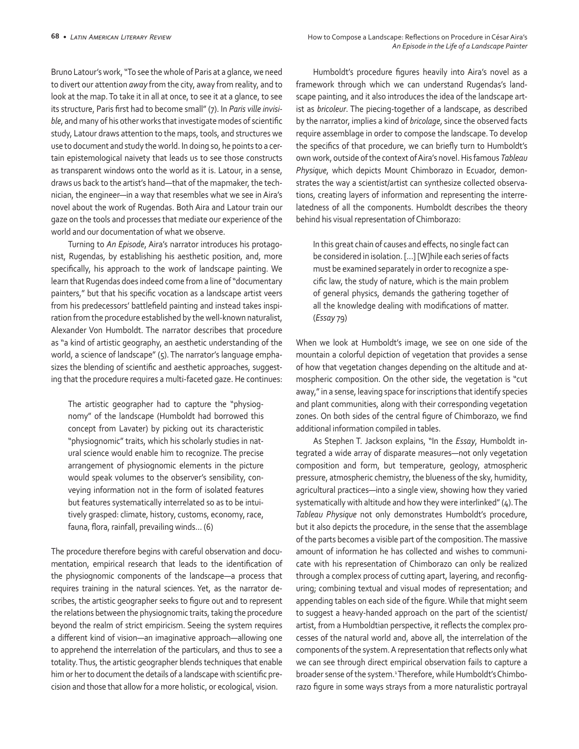Bruno Latour's work, "To see the whole of Paris at a glance, we need to divert our attention *away* from the city, away from reality, and to look at the map. To take it in all at once, to see it at a glance, to see its structure, Paris first had to become small" (7). In *Paris ville invisible*, and many of his other works that investigate modes of scientific study, Latour draws attention to the maps, tools, and structures we use to document and study the world. In doing so, he points to a certain epistemological naivety that leads us to see those constructs as transparent windows onto the world as it is. Latour, in a sense, draws us back to the artist's hand—that of the mapmaker, the technician, the engineer—in a way that resembles what we see in Aira's novel about the work of Rugendas. Both Aira and Latour train our gaze on the tools and processes that mediate our experience of the world and our documentation of what we observe.

Turning to *An Episode*, Aira's narrator introduces his protagonist, Rugendas, by establishing his aesthetic position, and, more specifically, his approach to the work of landscape painting. We learn that Rugendas does indeed come from a line of "documentary painters," but that his specific vocation as a landscape artist veers from his predecessors' battlefield painting and instead takes inspiration from the procedure established by the well-known naturalist, Alexander Von Humboldt. The narrator describes that procedure as "a kind of artistic geography, an aesthetic understanding of the world, a science of landscape" (5). The narrator's language emphasizes the blending of scientific and aesthetic approaches, suggesting that the procedure requires a multi-faceted gaze. He continues:

The artistic geographer had to capture the "physiognomy" of the landscape (Humboldt had borrowed this concept from Lavater) by picking out its characteristic "physiognomic" traits, which his scholarly studies in natural science would enable him to recognize. The precise arrangement of physiognomic elements in the picture would speak volumes to the observer's sensibility, conveying information not in the form of isolated features but features systematically interrelated so as to be intuitively grasped: climate, history, customs, economy, race, fauna, flora, rainfall, prevailing winds… (6)

The procedure therefore begins with careful observation and documentation, empirical research that leads to the identification of the physiognomic components of the landscape—a process that requires training in the natural sciences. Yet, as the narrator describes, the artistic geographer seeks to figure out and to represent the relations between the physiognomic traits, taking the procedure beyond the realm of strict empiricism. Seeing the system requires a different kind of vision—an imaginative approach—allowing one to apprehend the interrelation of the particulars, and thus to see a totality. Thus, the artistic geographer blends techniques that enable him or her to document the details of a landscape with scientific precision and those that allow for a more holistic, or ecological, vision.

Humboldt's procedure figures heavily into Aira's novel as a framework through which we can understand Rugendas's landscape painting, and it also introduces the idea of the landscape artist as *bricoleur*. The piecing-together of a landscape, as described by the narrator, implies a kind of *bricolage*, since the observed facts require assemblage in order to compose the landscape. To develop the specifics of that procedure, we can briefly turn to Humboldt's own work, outside of the context of Aira's novel. His famous *Tableau Physique*, which depicts Mount Chimborazo in Ecuador, demonstrates the way a scientist/artist can synthesize collected observations, creating layers of information and representing the interrelatedness of all the components. Humboldt describes the theory behind his visual representation of Chimborazo:

In this great chain of causes and effects, no single fact can be considered in isolation. […] [W]hile each series of facts must be examined separately in order to recognize a specific law, the study of nature, which is the main problem of general physics, demands the gathering together of all the knowledge dealing with modifications of matter. (*Essay* 79)

When we look at Humboldt's image, we see on one side of the mountain a colorful depiction of vegetation that provides a sense of how that vegetation changes depending on the altitude and atmospheric composition. On the other side, the vegetation is "cut away," in a sense, leaving space for inscriptions that identify species and plant communities, along with their corresponding vegetation zones. On both sides of the central figure of Chimborazo, we find additional information compiled in tables.

As Stephen T. Jackson explains, "In the *Essay*, Humboldt integrated a wide array of disparate measures—not only vegetation composition and form, but temperature, geology, atmospheric pressure, atmospheric chemistry, the blueness of the sky, humidity, agricultural practices—into a single view, showing how they varied systematically with altitude and how they were interlinked" (4). The *Tableau Physique* not only demonstrates Humboldt's procedure, but it also depicts the procedure, in the sense that the assemblage of the parts becomes a visible part of the composition. The massive amount of information he has collected and wishes to communicate with his representation of Chimborazo can only be realized through a complex process of cutting apart, layering, and reconfiguring; combining textual and visual modes of representation; and appending tables on each side of the figure. While that might seem to suggest a heavy-handed approach on the part of the scientist/ artist, from a Humboldtian perspective, it reflects the complex processes of the natural world and, above all, the interrelation of the components of the system. A representation that reflects only what we can see through direct empirical observation fails to capture a broader sense of the system.1 Therefore, while Humboldt's Chimborazo figure in some ways strays from a more naturalistic portrayal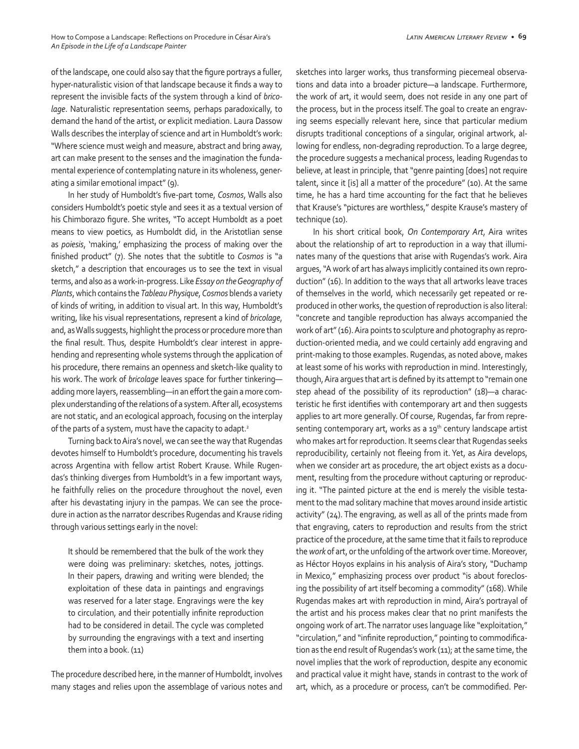of the landscape, one could also say that the figure portrays a fuller, hyper-naturalistic vision of that landscape because it finds a way to represent the invisible facts of the system through a kind of *bricolage*. Naturalistic representation seems, perhaps paradoxically, to demand the hand of the artist, or explicit mediation. Laura Dassow Walls describes the interplay of science and art in Humboldt's work: "Where science must weigh and measure, abstract and bring away, art can make present to the senses and the imagination the fundamental experience of contemplating nature in its wholeness, generating a similar emotional impact" (9).

In her study of Humboldt's five-part tome, *Cosmos*, Walls also considers Humboldt's poetic style and sees it as a textual version of his Chimborazo figure. She writes, "To accept Humboldt as a poet means to view poetics, as Humboldt did, in the Aristotlian sense as *poiesis*, 'making,' emphasizing the process of making over the finished product" (7). She notes that the subtitle to *Cosmos* is "a sketch," a description that encourages us to see the text in visual terms, and also as a work-in-progress. Like *Essay on the Geography of Plants*, which contains the *Tableau Physique*, *Cosmos* blends a variety of kinds of writing, in addition to visual art. In this way, Humboldt's writing, like his visual representations, represent a kind of *bricolage*, and, as Walls suggests, highlight the process or procedure more than the final result. Thus, despite Humboldt's clear interest in apprehending and representing whole systems through the application of his procedure, there remains an openness and sketch-like quality to his work. The work of *bricolage* leaves space for further tinkering adding more layers, reassembling—in an effort the gain a more complex understanding of the relations of a system. After all, ecosystems are not static, and an ecological approach, focusing on the interplay of the parts of a system, must have the capacity to adapt.<sup>2</sup>

Turning back to Aira's novel, we can see the way that Rugendas devotes himself to Humboldt's procedure, documenting his travels across Argentina with fellow artist Robert Krause. While Rugendas's thinking diverges from Humboldt's in a few important ways, he faithfully relies on the procedure throughout the novel, even after his devastating injury in the pampas. We can see the procedure in action as the narrator describes Rugendas and Krause riding through various settings early in the novel:

It should be remembered that the bulk of the work they were doing was preliminary: sketches, notes, jottings. In their papers, drawing and writing were blended; the exploitation of these data in paintings and engravings was reserved for a later stage. Engravings were the key to circulation, and their potentially infinite reproduction had to be considered in detail. The cycle was completed by surrounding the engravings with a text and inserting them into a book. (11)

The procedure described here, in the manner of Humboldt, involves many stages and relies upon the assemblage of various notes and sketches into larger works, thus transforming piecemeal observations and data into a broader picture—a landscape. Furthermore, the work of art, it would seem, does not reside in any one part of the process, but in the process itself. The goal to create an engraving seems especially relevant here, since that particular medium disrupts traditional conceptions of a singular, original artwork, allowing for endless, non-degrading reproduction. To a large degree, the procedure suggests a mechanical process, leading Rugendas to believe, at least in principle, that "genre painting [does] not require talent, since it [is] all a matter of the procedure" (10). At the same time, he has a hard time accounting for the fact that he believes that Krause's "pictures are worthless," despite Krause's mastery of technique (10).

In his short critical book, *On Contemporary Art*, Aira writes about the relationship of art to reproduction in a way that illuminates many of the questions that arise with Rugendas's work. Aira argues, "A work of art has always implicitly contained its own reproduction" (16). In addition to the ways that all artworks leave traces of themselves in the world, which necessarily get repeated or reproduced in other works, the question of reproduction is also literal: "concrete and tangible reproduction has always accompanied the work of art" (16). Aira points to sculpture and photography as reproduction-oriented media, and we could certainly add engraving and print-making to those examples. Rugendas, as noted above, makes at least some of his works with reproduction in mind. Interestingly, though, Aira argues that art is defined by its attempt to "remain one step ahead of the possibility of its reproduction" (18)—a characteristic he first identifies with contemporary art and then suggests applies to art more generally. Of course, Rugendas, far from representing contemporary art, works as a  $19<sup>th</sup>$  century landscape artist who makes art for reproduction. It seems clear that Rugendas seeks reproducibility, certainly not fleeing from it. Yet, as Aira develops, when we consider art as procedure, the art object exists as a document, resulting from the procedure without capturing or reproducing it. "The painted picture at the end is merely the visible testament to the mad solitary machine that moves around inside artistic activity" (24). The engraving, as well as all of the prints made from that engraving, caters to reproduction and results from the strict practice of the procedure, at the same time that it fails to reproduce the *work* of art, or the unfolding of the artwork over time. Moreover, as Héctor Hoyos explains in his analysis of Aira's story, "Duchamp in Mexico," emphasizing process over product "is about foreclosing the possibility of art itself becoming a commodity" (168). While Rugendas makes art with reproduction in mind, Aira's portrayal of the artist and his process makes clear that no print manifests the ongoing work of art. The narrator uses language like "exploitation," "circulation," and "infinite reproduction," pointing to commodification as the end result of Rugendas's work (11); at the same time, the novel implies that the work of reproduction, despite any economic and practical value it might have, stands in contrast to the work of art, which, as a procedure or process, can't be commodified. Per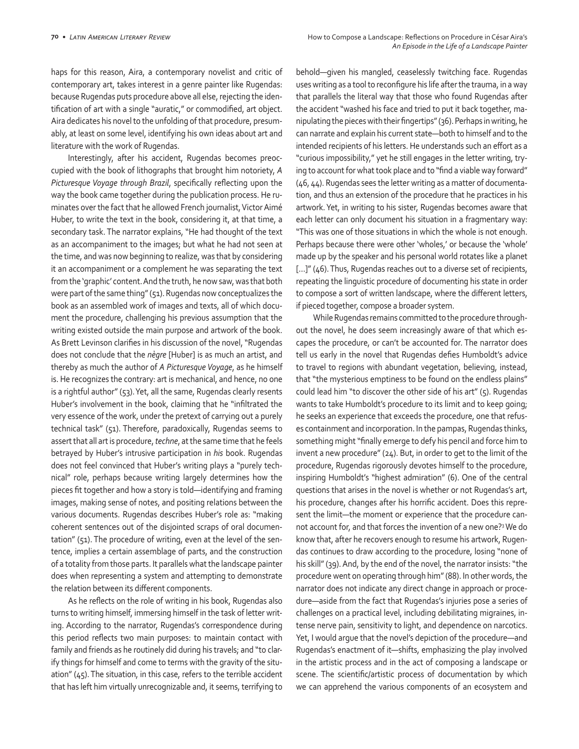haps for this reason, Aira, a contemporary novelist and critic of contemporary art, takes interest in a genre painter like Rugendas: because Rugendas puts procedure above all else, rejecting the identification of art with a single "auratic," or commodified, art object. Aira dedicates his novel to the unfolding of that procedure, presumably, at least on some level, identifying his own ideas about art and literature with the work of Rugendas.

Interestingly, after his accident, Rugendas becomes preoccupied with the book of lithographs that brought him notoriety, *A Picturesque Voyage through Brazil*, specifically reflecting upon the way the book came together during the publication process. He ruminates over the fact that he allowed French journalist, Victor Aimé Huber, to write the text in the book, considering it, at that time, a secondary task. The narrator explains, "He had thought of the text as an accompaniment to the images; but what he had not seen at the time, and was now beginning to realize, was that by considering it an accompaniment or a complement he was separating the text from the 'graphic' content. And the truth, he now saw, was that both were part of the same thing" (51). Rugendas now conceptualizes the book as an assembled work of images and texts, all of which document the procedure, challenging his previous assumption that the writing existed outside the main purpose and artwork of the book. As Brett Levinson clarifies in his discussion of the novel, "Rugendas does not conclude that the *nègre* [Huber] is as much an artist, and thereby as much the author of *A Picturesque Voyage*, as he himself is. He recognizes the contrary: art is mechanical, and hence, no one is a rightful author" (53). Yet, all the same, Rugendas clearly resents Huber's involvement in the book, claiming that he "infiltrated the very essence of the work, under the pretext of carrying out a purely technical task" (51). Therefore, paradoxically, Rugendas seems to assert that all art is procedure, *techne*, at the same time that he feels betrayed by Huber's intrusive participation in *his* book. Rugendas does not feel convinced that Huber's writing plays a "purely technical" role, perhaps because writing largely determines how the pieces fit together and how a story is told—identifying and framing images, making sense of notes, and positing relations between the various documents. Rugendas describes Huber's role as: "making coherent sentences out of the disjointed scraps of oral documentation" (51). The procedure of writing, even at the level of the sentence, implies a certain assemblage of parts, and the construction of a totality from those parts. It parallels what the landscape painter does when representing a system and attempting to demonstrate the relation between its different components.

As he reflects on the role of writing in his book, Rugendas also turns to writing himself, immersing himself in the task of letter writing. According to the narrator, Rugendas's correspondence during this period reflects two main purposes: to maintain contact with family and friends as he routinely did during his travels; and "to clarify things for himself and come to terms with the gravity of the situation" (45). The situation, in this case, refers to the terrible accident that has left him virtually unrecognizable and, it seems, terrifying to

behold—given his mangled, ceaselessly twitching face. Rugendas uses writing as a tool to reconfigure his life after the trauma, in a way that parallels the literal way that those who found Rugendas after the accident "washed his face and tried to put it back together, manipulating the pieces with their fingertips" (36). Perhaps in writing, he can narrate and explain his current state—both to himself and to the intended recipients of his letters. He understands such an effort as a "curious impossibility," yet he still engages in the letter writing, trying to account for what took place and to "find a viable way forward" (46, 44). Rugendas sees the letter writing as a matter of documentation, and thus an extension of the procedure that he practices in his artwork. Yet, in writing to his sister, Rugendas becomes aware that each letter can only document his situation in a fragmentary way: "This was one of those situations in which the whole is not enough. Perhaps because there were other 'wholes,' or because the 'whole' made up by the speaker and his personal world rotates like a planet [...]" (46). Thus, Rugendas reaches out to a diverse set of recipients, repeating the linguistic procedure of documenting his state in order to compose a sort of written landscape, where the different letters, if pieced together, compose a broader system.

While Rugendas remains committed to the procedure throughout the novel, he does seem increasingly aware of that which escapes the procedure, or can't be accounted for. The narrator does tell us early in the novel that Rugendas defies Humboldt's advice to travel to regions with abundant vegetation, believing, instead, that "the mysterious emptiness to be found on the endless plains" could lead him "to discover the other side of his art" (5). Rugendas wants to take Humboldt's procedure to its limit and to keep going; he seeks an experience that exceeds the procedure, one that refuses containment and incorporation. In the pampas, Rugendas thinks, something might "finally emerge to defy his pencil and force him to invent a new procedure" (24). But, in order to get to the limit of the procedure, Rugendas rigorously devotes himself to the procedure, inspiring Humboldt's "highest admiration" (6). One of the central questions that arises in the novel is whether or not Rugendas's art, his procedure, changes after his horrific accident. Does this represent the limit—the moment or experience that the procedure cannot account for, and that forces the invention of a new one?3 We do know that, after he recovers enough to resume his artwork, Rugendas continues to draw according to the procedure, losing "none of his skill" (39). And, by the end of the novel, the narrator insists: "the procedure went on operating through him" (88). In other words, the narrator does not indicate any direct change in approach or procedure—aside from the fact that Rugendas's injuries pose a series of challenges on a practical level, including debilitating migraines, intense nerve pain, sensitivity to light, and dependence on narcotics. Yet, I would argue that the novel's depiction of the procedure—and Rugendas's enactment of it—shifts, emphasizing the play involved in the artistic process and in the act of composing a landscape or scene. The scientific/artistic process of documentation by which we can apprehend the various components of an ecosystem and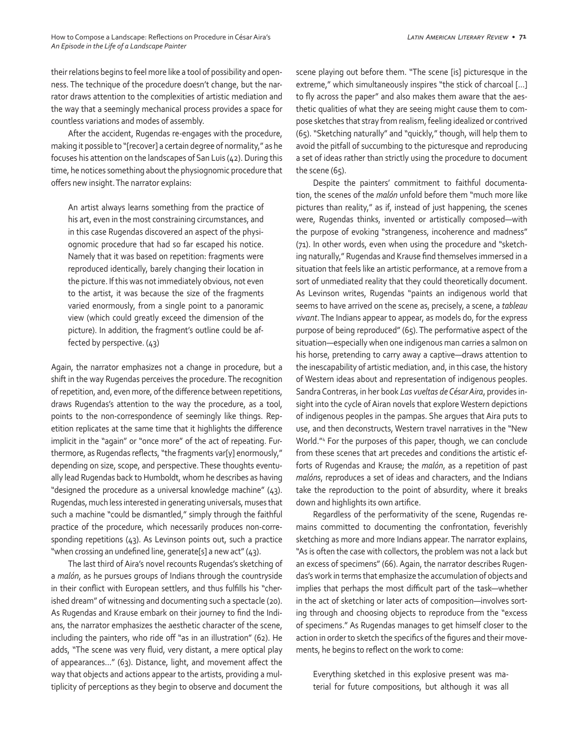their relations begins to feel more like a tool of possibility and openness. The technique of the procedure doesn't change, but the narrator draws attention to the complexities of artistic mediation and the way that a seemingly mechanical process provides a space for countless variations and modes of assembly.

After the accident, Rugendas re-engages with the procedure, making it possible to "[recover] a certain degree of normality," as he focuses his attention on the landscapes of San Luis (42). During this time, he notices something about the physiognomic procedure that offers new insight. The narrator explains:

An artist always learns something from the practice of his art, even in the most constraining circumstances, and in this case Rugendas discovered an aspect of the physiognomic procedure that had so far escaped his notice. Namely that it was based on repetition: fragments were reproduced identically, barely changing their location in the picture. If this was not immediately obvious, not even to the artist, it was because the size of the fragments varied enormously, from a single point to a panoramic view (which could greatly exceed the dimension of the picture). In addition, the fragment's outline could be affected by perspective. (43)

Again, the narrator emphasizes not a change in procedure, but a shift in the way Rugendas perceives the procedure. The recognition of repetition, and, even more, of the difference between repetitions, draws Rugendas's attention to the way the procedure, as a tool, points to the non-correspondence of seemingly like things. Repetition replicates at the same time that it highlights the difference implicit in the "again" or "once more" of the act of repeating. Furthermore, as Rugendas reflects, "the fragments var[y] enormously," depending on size, scope, and perspective. These thoughts eventually lead Rugendas back to Humboldt, whom he describes as having "designed the procedure as a universal knowledge machine" (43). Rugendas, much less interested in generating universals, muses that such a machine "could be dismantled," simply through the faithful practice of the procedure, which necessarily produces non-corresponding repetitions (43). As Levinson points out, such a practice "when crossing an undefined line, generate[s] a new act" (43).

The last third of Aira's novel recounts Rugendas's sketching of a *malón*, as he pursues groups of Indians through the countryside in their conflict with European settlers, and thus fulfills his "cherished dream" of witnessing and documenting such a spectacle (20). As Rugendas and Krause embark on their journey to find the Indians, the narrator emphasizes the aesthetic character of the scene, including the painters, who ride off "as in an illustration" (62). He adds, "The scene was very fluid, very distant, a mere optical play of appearances…" (63). Distance, light, and movement affect the way that objects and actions appear to the artists, providing a multiplicity of perceptions as they begin to observe and document the scene playing out before them. "The scene [is] picturesque in the extreme," which simultaneously inspires "the stick of charcoal […] to fly across the paper" and also makes them aware that the aesthetic qualities of what they are seeing might cause them to compose sketches that stray from realism, feeling idealized or contrived (65). "Sketching naturally" and "quickly," though, will help them to avoid the pitfall of succumbing to the picturesque and reproducing a set of ideas rather than strictly using the procedure to document the scene (65).

Despite the painters' commitment to faithful documentation, the scenes of the *malón* unfold before them "much more like pictures than reality," as if, instead of just happening, the scenes were, Rugendas thinks, invented or artistically composed—with the purpose of evoking "strangeness, incoherence and madness" (71). In other words, even when using the procedure and "sketching naturally," Rugendas and Krause find themselves immersed in a situation that feels like an artistic performance, at a remove from a sort of unmediated reality that they could theoretically document. As Levinson writes, Rugendas "paints an indigenous world that seems to have arrived on the scene as, precisely, a scene, a *tableau vivant*. The Indians appear to appear, as models do, for the express purpose of being reproduced" (65). The performative aspect of the situation—especially when one indigenous man carries a salmon on his horse, pretending to carry away a captive—draws attention to the inescapability of artistic mediation, and, in this case, the history of Western ideas about and representation of indigenous peoples. Sandra Contreras, in her book *Las vueltas de César Aira*, provides insight into the cycle of Airan novels that explore Western depictions of indigenous peoples in the pampas. She argues that Aira puts to use, and then deconstructs, Western travel narratives in the "New World."4 For the purposes of this paper, though, we can conclude from these scenes that art precedes and conditions the artistic efforts of Rugendas and Krause; the *malón*, as a repetition of past *malóns*, reproduces a set of ideas and characters, and the Indians take the reproduction to the point of absurdity, where it breaks down and highlights its own artifice.

Regardless of the performativity of the scene, Rugendas remains committed to documenting the confrontation, feverishly sketching as more and more Indians appear. The narrator explains, "As is often the case with collectors, the problem was not a lack but an excess of specimens" (66). Again, the narrator describes Rugendas's work in terms that emphasize the accumulation of objects and implies that perhaps the most difficult part of the task—whether in the act of sketching or later acts of composition—involves sorting through and choosing objects to reproduce from the "excess of specimens." As Rugendas manages to get himself closer to the action in order to sketch the specifics of the figures and their movements, he begins to reflect on the work to come:

Everything sketched in this explosive present was material for future compositions, but although it was all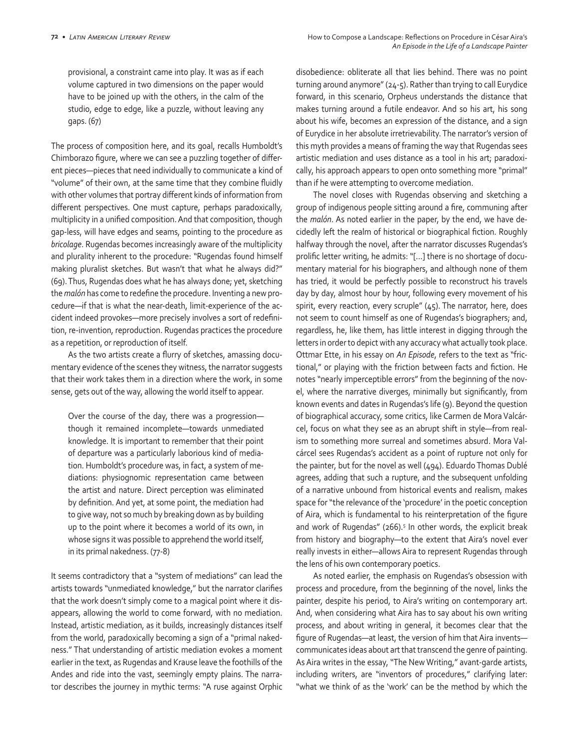provisional, a constraint came into play. It was as if each volume captured in two dimensions on the paper would have to be joined up with the others, in the calm of the studio, edge to edge, like a puzzle, without leaving any gaps. (67)

The process of composition here, and its goal, recalls Humboldt's Chimborazo figure, where we can see a puzzling together of different pieces—pieces that need individually to communicate a kind of "volume" of their own, at the same time that they combine fluidly with other volumes that portray different kinds of information from different perspectives. One must capture, perhaps paradoxically, multiplicity in a unified composition. And that composition, though gap-less, will have edges and seams, pointing to the procedure as *bricolage*. Rugendas becomes increasingly aware of the multiplicity and plurality inherent to the procedure: "Rugendas found himself making pluralist sketches. But wasn't that what he always did?" (69). Thus, Rugendas does what he has always done; yet, sketching the *malón* has come to redefine the procedure. Inventing a new procedure—if that is what the near-death, limit-experience of the accident indeed provokes—more precisely involves a sort of redefinition, re-invention, reproduction. Rugendas practices the procedure as a repetition, or reproduction of itself.

As the two artists create a flurry of sketches, amassing documentary evidence of the scenes they witness, the narrator suggests that their work takes them in a direction where the work, in some sense, gets out of the way, allowing the world itself to appear.

Over the course of the day, there was a progression though it remained incomplete—towards unmediated knowledge. It is important to remember that their point of departure was a particularly laborious kind of mediation. Humboldt's procedure was, in fact, a system of mediations: physiognomic representation came between the artist and nature. Direct perception was eliminated by definition. And yet, at some point, the mediation had to give way, not so much by breaking down as by building up to the point where it becomes a world of its own, in whose signs it was possible to apprehend the world itself, in its primal nakedness. (77-8)

It seems contradictory that a "system of mediations" can lead the artists towards "unmediated knowledge," but the narrator clarifies that the work doesn't simply come to a magical point where it disappears, allowing the world to come forward, with no mediation. Instead, artistic mediation, as it builds, increasingly distances itself from the world, paradoxically becoming a sign of a "primal nakedness." That understanding of artistic mediation evokes a moment earlier in the text, as Rugendas and Krause leave the foothills of the Andes and ride into the vast, seemingly empty plains. The narrator describes the journey in mythic terms: "A ruse against Orphic disobedience: obliterate all that lies behind. There was no point turning around anymore" (24-5). Rather than trying to call Eurydice forward, in this scenario, Orpheus understands the distance that makes turning around a futile endeavor. And so his art, his song about his wife, becomes an expression of the distance, and a sign of Eurydice in her absolute irretrievability. The narrator's version of this myth provides a means of framing the way that Rugendas sees artistic mediation and uses distance as a tool in his art; paradoxically, his approach appears to open onto something more "primal" than if he were attempting to overcome mediation.

The novel closes with Rugendas observing and sketching a group of indigenous people sitting around a fire, communing after the *malón*. As noted earlier in the paper, by the end, we have decidedly left the realm of historical or biographical fiction. Roughly halfway through the novel, after the narrator discusses Rugendas's prolific letter writing, he admits: "[…] there is no shortage of documentary material for his biographers, and although none of them has tried, it would be perfectly possible to reconstruct his travels day by day, almost hour by hour, following every movement of his spirit, every reaction, every scruple" (45). The narrator, here, does not seem to count himself as one of Rugendas's biographers; and, regardless, he, like them, has little interest in digging through the letters in order to depict with any accuracy what actually took place. Ottmar Ette, in his essay on *An Episode*, refers to the text as "frictional," or playing with the friction between facts and fiction. He notes "nearly imperceptible errors" from the beginning of the novel, where the narrative diverges, minimally but significantly, from known events and dates in Rugendas's life (9). Beyond the question of biographical accuracy, some critics, like Carmen de Mora Valcárcel, focus on what they see as an abrupt shift in style—from realism to something more surreal and sometimes absurd. Mora Valcárcel sees Rugendas's accident as a point of rupture not only for the painter, but for the novel as well (494). Eduardo Thomas Dublé agrees, adding that such a rupture, and the subsequent unfolding of a narrative unbound from historical events and realism, makes space for "the relevance of the 'procedure' in the poetic conception of Aira, which is fundamental to his reinterpretation of the figure and work of Rugendas" (266).<sup>5</sup> In other words, the explicit break from history and biography—to the extent that Aira's novel ever really invests in either—allows Aira to represent Rugendas through the lens of his own contemporary poetics.

As noted earlier, the emphasis on Rugendas's obsession with process and procedure, from the beginning of the novel, links the painter, despite his period, to Aira's writing on contemporary art. And, when considering what Aira has to say about his own writing process, and about writing in general, it becomes clear that the figure of Rugendas—at least, the version of him that Aira invents communicates ideas about art that transcend the genre of painting. As Aira writes in the essay, "The New Writing," avant-garde artists, including writers, are "inventors of procedures," clarifying later: "what we think of as the 'work' can be the method by which the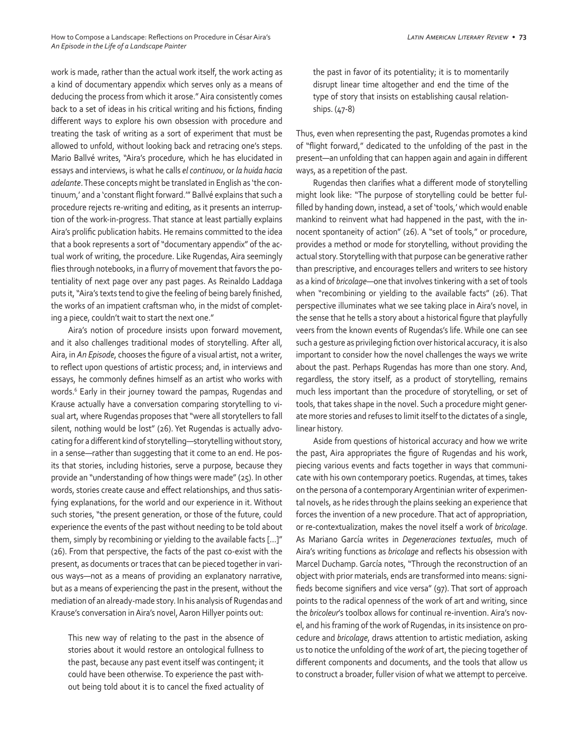work is made, rather than the actual work itself, the work acting as a kind of documentary appendix which serves only as a means of deducing the process from which it arose." Aira consistently comes back to a set of ideas in his critical writing and his fictions, finding different ways to explore his own obsession with procedure and treating the task of writing as a sort of experiment that must be allowed to unfold, without looking back and retracing one's steps. Mario Ballvé writes, "Aira's procedure, which he has elucidated in essays and interviews, is what he calls *el continuou*, or *la huida hacia adelante*. These concepts might be translated in English as 'the continuum,' and a 'constant flight forward.'" Ballvé explains that such a procedure rejects re-writing and editing, as it presents an interruption of the work-in-progress. That stance at least partially explains Aira's prolific publication habits. He remains committed to the idea that a book represents a sort of "documentary appendix" of the actual work of writing, the procedure. Like Rugendas, Aira seemingly flies through notebooks, in a flurry of movement that favors the potentiality of next page over any past pages. As Reinaldo Laddaga puts it, "Aira's texts tend to give the feeling of being barely finished, the works of an impatient craftsman who, in the midst of completing a piece, couldn't wait to start the next one."

Aira's notion of procedure insists upon forward movement, and it also challenges traditional modes of storytelling. After all, Aira, in *An Episode*, chooses the figure of a visual artist, not a writer, to reflect upon questions of artistic process; and, in interviews and essays, he commonly defines himself as an artist who works with words.<sup>6</sup> Early in their journey toward the pampas, Rugendas and Krause actually have a conversation comparing storytelling to visual art, where Rugendas proposes that "were all storytellers to fall silent, nothing would be lost" (26). Yet Rugendas is actually advocating for a different kind of storytelling—storytelling without story, in a sense—rather than suggesting that it come to an end. He posits that stories, including histories, serve a purpose, because they provide an "understanding of how things were made" (25). In other words, stories create cause and effect relationships, and thus satisfying explanations, for the world and our experience in it. Without such stories, "the present generation, or those of the future, could experience the events of the past without needing to be told about them, simply by recombining or yielding to the available facts […]" (26). From that perspective, the facts of the past co-exist with the present, as documents or traces that can be pieced together in various ways—not as a means of providing an explanatory narrative, but as a means of experiencing the past in the present, without the mediation of an already-made story. In his analysis of Rugendas and Krause's conversation in Aira's novel, Aaron Hillyer points out:

This new way of relating to the past in the absence of stories about it would restore an ontological fullness to the past, because any past event itself was contingent; it could have been otherwise. To experience the past without being told about it is to cancel the fixed actuality of

the past in favor of its potentiality; it is to momentarily disrupt linear time altogether and end the time of the type of story that insists on establishing causal relationships. (47-8)

Thus, even when representing the past, Rugendas promotes a kind of "flight forward," dedicated to the unfolding of the past in the present—an unfolding that can happen again and again in different ways, as a repetition of the past.

Rugendas then clarifies what a different mode of storytelling might look like: "The purpose of storytelling could be better fulfilled by handing down, instead, a set of 'tools,' which would enable mankind to reinvent what had happened in the past, with the innocent spontaneity of action" (26). A "set of tools," or procedure, provides a method or mode for storytelling, without providing the actual story. Storytelling with that purpose can be generative rather than prescriptive, and encourages tellers and writers to see history as a kind of *bricolage*—one that involves tinkering with a set of tools when "recombining or yielding to the available facts" (26). That perspective illuminates what we see taking place in Aira's novel, in the sense that he tells a story about a historical figure that playfully veers from the known events of Rugendas's life. While one can see such a gesture as privileging fiction over historical accuracy, it is also important to consider how the novel challenges the ways we write about the past. Perhaps Rugendas has more than one story. And, regardless, the story itself, as a product of storytelling, remains much less important than the procedure of storytelling, or set of tools, that takes shape in the novel. Such a procedure might generate more stories and refuses to limit itself to the dictates of a single, linear history.

Aside from questions of historical accuracy and how we write the past, Aira appropriates the figure of Rugendas and his work, piecing various events and facts together in ways that communicate with his own contemporary poetics. Rugendas, at times, takes on the persona of a contemporary Argentinian writer of experimental novels, as he rides through the plains seeking an experience that forces the invention of a new procedure. That act of appropriation, or re-contextualization, makes the novel itself a work of *bricolage*. As Mariano García writes in *Degeneraciones textuales*, much of Aira's writing functions as *bricolage* and reflects his obsession with Marcel Duchamp. García notes, "Through the reconstruction of an object with prior materials, ends are transformed into means: signifieds become signifiers and vice versa" (97). That sort of approach points to the radical openness of the work of art and writing, since the *bricoleur*'s toolbox allows for continual re-invention. Aira's novel, and his framing of the work of Rugendas, in its insistence on procedure and *bricolage*, draws attention to artistic mediation, asking us to notice the unfolding of the *work* of art, the piecing together of different components and documents, and the tools that allow us to construct a broader, fuller vision of what we attempt to perceive.